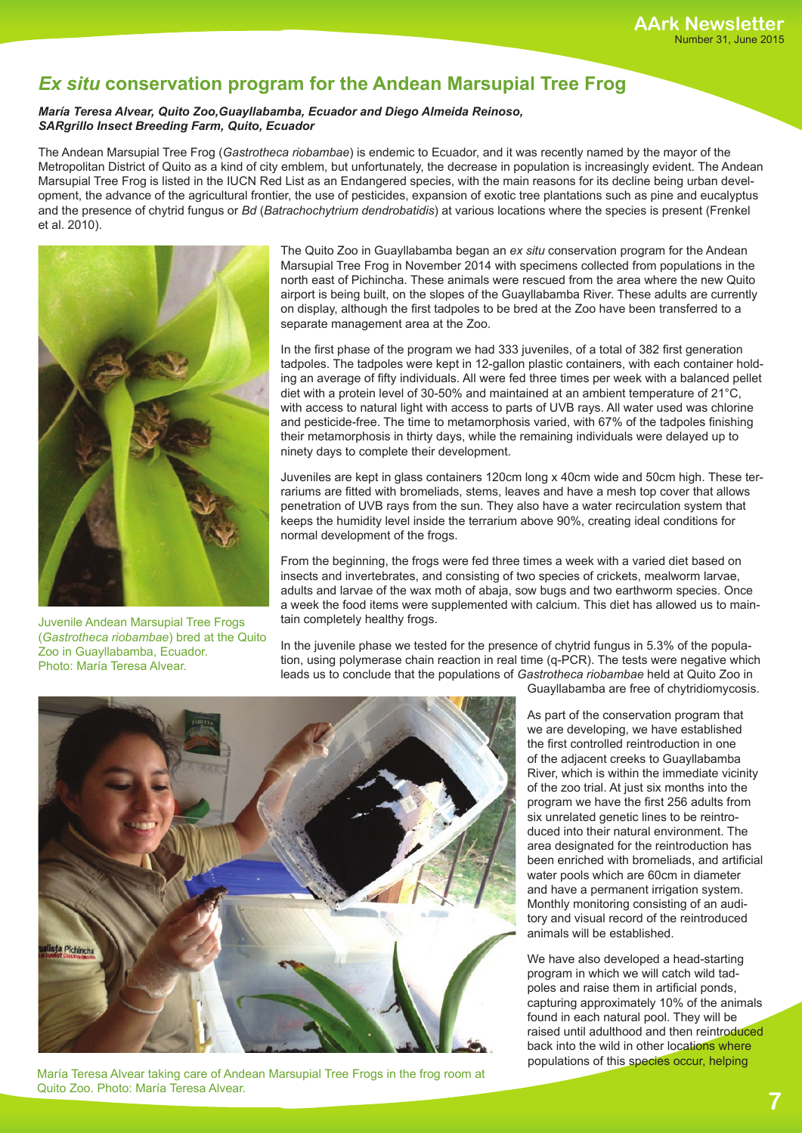## *Ex situ* **conservation program for the Andean Marsupial Tree Frog**

## *María Teresa Alvear, Quito Zoo,Guayllabamba, Ecuador and Diego Almeida Reinoso, SARgrillo Insect Breeding Farm, Quito, Ecuador*

The Andean Marsupial Tree Frog (*Gastrotheca riobambae*) is endemic to Ecuador, and it was recently named by the mayor of the Metropolitan District of Quito as a kind of city emblem, but unfortunately, the decrease in population is increasingly evident. The Andean Marsupial Tree Frog is listed in the IUCN Red List as an Endangered species, with the main reasons for its decline being urban development, the advance of the agricultural frontier, the use of pesticides, expansion of exotic tree plantations such as pine and eucalyptus and the presence of chytrid fungus or *Bd* (*Batrachochytrium dendrobatidis*) at various locations where the species is present (Frenkel et al. 2010).



Juvenile Andean Marsupial Tree Frogs (*Gastrotheca riobambae*) bred at the Quito Zoo in Guayllabamba, Ecuador. Photo: María Teresa Alvear.

The Quito Zoo in Guayllabamba began an *ex situ* conservation program for the Andean Marsupial Tree Frog in November 2014 with specimens collected from populations in the north east of Pichincha. These animals were rescued from the area where the new Quito airport is being built, on the slopes of the Guayllabamba River. These adults are currently on display, although the first tadpoles to be bred at the Zoo have been transferred to a separate management area at the Zoo.

In the first phase of the program we had 333 juveniles, of a total of 382 first generation tadpoles. The tadpoles were kept in 12-gallon plastic containers, with each container holding an average of fifty individuals. All were fed three times per week with a balanced pellet diet with a protein level of 30-50% and maintained at an ambient temperature of 21°C, with access to natural light with access to parts of UVB rays. All water used was chlorine and pesticide-free. The time to metamorphosis varied, with 67% of the tadpoles finishing their metamorphosis in thirty days, while the remaining individuals were delayed up to ninety days to complete their development.

Juveniles are kept in glass containers 120cm long x 40cm wide and 50cm high. These terrariums are fitted with bromeliads, stems, leaves and have a mesh top cover that allows penetration of UVB rays from the sun. They also have a water recirculation system that keeps the humidity level inside the terrarium above 90%, creating ideal conditions for normal development of the frogs.

From the beginning, the frogs were fed three times a week with a varied diet based on insects and invertebrates, and consisting of two species of crickets, mealworm larvae, adults and larvae of the wax moth of abaja, sow bugs and two earthworm species. Once a week the food items were supplemented with calcium. This diet has allowed us to maintain completely healthy frogs.

In the juvenile phase we tested for the presence of chytrid fungus in 5.3% of the population, using polymerase chain reaction in real time (q-PCR). The tests were negative which leads us to conclude that the populations of *Gastrotheca riobambae* held at Quito Zoo in



María Teresa Alvear taking care of Andean Marsupial Tree Frogs in the frog room at Quito Zoo. Photo: María Teresa Alvear.

Guayllabamba are free of chytridiomycosis.

As part of the conservation program that we are developing, we have established the first controlled reintroduction in one of the adjacent creeks to Guayllabamba River, which is within the immediate vicinity of the zoo trial. At just six months into the program we have the first 256 adults from six unrelated genetic lines to be reintroduced into their natural environment. The area designated for the reintroduction has been enriched with bromeliads, and artificial water pools which are 60cm in diameter and have a permanent irrigation system. Monthly monitoring consisting of an auditory and visual record of the reintroduced animals will be established.

We have also developed a head-starting program in which we will catch wild tadpoles and raise them in artificial ponds, capturing approximately 10% of the animals found in each natural pool. They will be raised until adulthood and then reintroduced back into the wild in other locations where populations of this species occur, helping